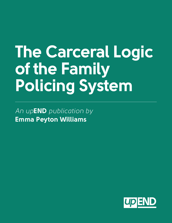## **The Carceral Logic of the Family Policing System**

*An up***END** *publication by*  **Emma Peyton Williams**

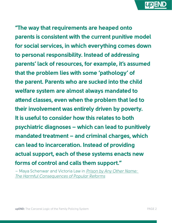**END**

**"The way that requirements are heaped onto parents is consistent with the current punitive model for social services, in which everything comes down to personal responsibility. Instead of addressing parents' lack of resources, for example, it's assumed that the problem lies with some 'pathology' of the parent. Parents who are sucked into the child welfare system are almost always mandated to attend classes, even when the problem that led to their involvement was entirely driven by poverty. It is useful to consider how this relates to both psychiatric diagnoses – which can lead to punitively mandated treatment – and criminal charges, which can lead to incarceration. Instead of providing actual support, each of these systems enacts new forms of control and calls them support."**

– Maya Schenwar and Victoria Law in *[Prison by Any Other Name:](https://thenewpress.com/books/prison-by-any-other-name)  [The Harmful Consequences of Popular Reforms](https://thenewpress.com/books/prison-by-any-other-name)*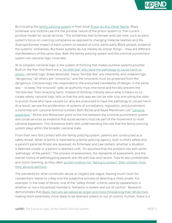

By including the [family policing system](https://upendmovement.org/family-policing-definition/) in their book [Prison by Any Other Name](https://thenewpress.com/books/prison-by-any-other-name), Maya Schenwar and Victoria Law link the punitive nature of the prison system to "the current punitive model for social services." The similarities that Schenwar and Law note, such as each system's focus on coercing compliance as opposed to changing material realities and the disproportionate impact of each system on people of color, particularly Black people, evidence the systems' similarities. But these systems do not merely do similar things – they are different manifestations of the same idea. Both the family policing system and the criminal punishment system are carceral logic incarnate.

At its simplest, carceral logic is the system of thinking that makes punitive systems possible. Built on the fear that there are [a "terrible few" who have the pathology to cause harm to](https://www.ucpress.edu/book/9780520242012/golden-gulag)  [others,](https://www.ucpress.edu/book/9780520242012/golden-gulag) carceral logic draws absolutes: these "terrible few" are inherently and unwaveringly "dangerous," all others are "innocents," and the innocents must be protected from the dangerous. Carceral logic has responded to the presumed inevitability of danger in the same way – to keep "the innocent" safe, an authority must intervene and forcibly prevent the "terrible few" from enacting harm. Instead of thinking critically about what it means to cocreate safety, carceral logic tells us that the only way we can be safe is by entrusting the state to punish those who have caused (or who are presumed to have the pathology to cause) harm. As a result, we see the proliferation of systems of surveillance, regulation, and punishment, a trend that anti-carceral feminist scholars Beth Richie and Kayla Martensen call ["carceral](https://journals.sagepub.com/doi/pdf/10.1177/0886109919897576)  [expansion.](https://journals.sagepub.com/doi/pdf/10.1177/0886109919897576)" Richie and Martensen point to the link between the criminal punishment system and social services as evidence that social workers must be part of the movement to resist carceral expansion. This resistance starts with understanding the role that the family policing system plays within the broader carceral state.

From their very first contact with the family policing system, parents are constructed as a safety threat. When a family is reported to a family policing agency, both a child's safety and a parent's parental fitness are assessed. As Schenwar and Law remark, whether a situation is deemed unsafe or a parent is deemed unfit, "it's assumed that the problem lies with some 'pathology' of the parent." The process of assessment, the standards of assessment, and the overall history of pathologizing parents are rife with bias and racism. They're also problematic and victim-blaming, as they often punish mothers for "failing to protect" their children from [their abusive partners.](https://ir.lawnet.fordham.edu/ulj/vol27/iss3/3/)

The standards for what constitutes abuse or neglect are vague, leaving much room for caseworkers' biases to creep into the subjective process of deeming a child unsafe. For example, in the state of Illinois, one of the "safety threat" criteria used by caseworkers is whether or not a household member's "behavior is violent and out of control." Research demonstrates that [Black men are perceived as larger and more threatening than White men](https://www.apa.org/pubs/journals/releases/psp-pspi0000092.pdf), making them potentially more likely to be deemed violent or out of control. Further, there is a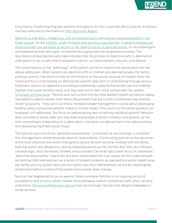**END**

long history of pathologizing poor parents and parents of color, especially Black parents, a practice that was reflected by the infamous [1965 Moynihan Report.](https://web.stanford.edu/~mrosenfe/Moynihan%27s%20The%20Negro%20Family.pdf)

[Data tell us that Black, Indigenous, and increasingly Latinx families are overrepresented in the](https://ncjj.org/AFCARS/Disproportionality_Dashboard.asp)  [foster system](https://ncjj.org/AFCARS/Disproportionality_Dashboard.asp). So are [LGBTQ+ youth](https://williamsinstitute.law.ucla.edu/publications/sgm-youth-la-foster-care/) and [poor and working-class families.](http://cap.law.harvard.edu/wp-content/uploads/2015/07/putnamneedellrd.pdf) [A parent's mental and](https://www.ncbi.nlm.nih.gov/pmc/articles/PMC2851019/)  [physical health are assessed as factors in the determination of parental fitness,](https://www.ncbi.nlm.nih.gov/pmc/articles/PMC2851019/) so neurodivergent and disabled parents are hyper-scrutinized throughout the risk assessment process. The abundance of disproportionality data indicates that the process to determine who is deemed an unfit parent or an unsafe child is steeped in racism, cis-heterosexism, classism, and ableism.

The overemphasis on the "pathology" of the parent carries on beyond the assessment into the actual safety plan. When parents are deemed unfit or children are deemed unsafe, the family policing system's interventions rely on the threat of or the actual removal of children from the home and focus most heavily on altering the parent's approach to childrearing through various treatment options, as opposed to providing fundamental supports that ameliorate the material realities that cause families stress and may have led to their initial contact with the system. [Schenwar and Law write](https://thenewpress.com/books/prison-by-any-other-name), "Parents who are sucked into the child welfare system are almost always mandated to attend classes, even when the problem that led to their involvement was entirely driven by poverty." They point out that a mandated anger management course about developing healthy stress coping mechanisms makes a limited impact if the source of the stress (poverty, for example) isn't addressed. The focus on pathologizing and correcting individual parents' behavior does not make a family safer and may even exacerbate a family's isolation and poverty, as the time commitment of attending to a safety plan's mandates can detract from time spent working and observing important social rituals.

The harmful outcome of this "personal responsibility" component of carceral logic is manifold: first, this approach overemphasizes parents' responsibility. Constructing parents as the epicenter of the issue advances the notion that parents whose families become involved with the family policing system are dangerous, casting impacted parents as the "terrible few" who, according to carceral logic, must be feared, isolated, and punished. Carceral logic's laser focus on individuals' "personal responsibility" overlooks and even exacerbates the true causes of child maltreatment – by framing child maltreatment as a series of isolated incidents as opposed to a public health issue, the family policing system obscures the reality that child maltreatment cannot be meaningfully ameliorated without overarching system and societal-level change.

Second, the heightened focus on parents' fitness ensnares families in an ongoing period of surveillance and scrutiny, which creates more pathways toward involvement with other carceral institutions. [Richie and Martensen discuss](https://journals.sagepub.com/doi/pdf/10.1177/0886109919897576) how carceral logic has become deeply embedded in social services: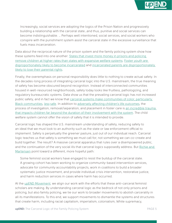

Increasingly, social services are adopting the logics of the Prison Nation and progressively building a relationship with the carceral state…and thus, punitive and social services can become indistinguishable. … Perhaps well intentioned, social services, and social workers who conspire with the punishment system assist the carceral state in the excessive surveillance that fuels mass incarceration.

Data about the reciprocal nature of the prison system and the family policing system show how these systems feed into one another. [States that invest more money in prisons and policing](https://journals.sagepub.com/doi/10.1177/0003122416638652)  [remove children at higher rates than states with expansive welfare systems.](https://journals.sagepub.com/doi/10.1177/0003122416638652) [Foster youth are](https://search.issuelab.org/resource/midwest-evaluation-of-the-adult-functioning-of-former-foster-youth-outcomes-at-age-26.html)  [disproportionately likely to become incarcerated](https://search.issuelab.org/resource/midwest-evaluation-of-the-adult-functioning-of-former-foster-youth-outcomes-at-age-26.html) and [incarcerated parents are disproportionately](https://www.themarshallproject.org/2018/12/03/how-incarcerated-parents-are-losing-their-children-forever)  [likely to lose their parental rights.](https://www.themarshallproject.org/2018/12/03/how-incarcerated-parents-are-losing-their-children-forever)

Finally, the overemphasis on personal responsibility does little to nothing to create actual safety. In the decades-long process of integrating carceral logic into the U.S. mainstream, the true meaning of safety has become obscured beyond recognition. Instead of interconnected communities housed in well-resourced neighborhoods, safety today looks like fruitless, pathologizing, and regulatory bureaucratic systems. Data show us that the prevailing carceral logic has not increased public safety, and in fact we know that [carceral systems make communities of color, particularly](https://www.pnas.org/doi/10.1073/pnas.1821204116)  [Black communities](https://www.pnas.org/doi/10.1073/pnas.1821204116), *[less](https://www.pnas.org/doi/10.1073/pnas.1821204116)* [safe.](https://www.pnas.org/doi/10.1073/pnas.1821204116) In addition to [adversely affecting children's life outcomes,](https://search.issuelab.org/resource/midwest-evaluation-of-the-adult-functioning-of-former-foster-youth-outcomes-at-age-26.html) the process of investigation, removal/separation, and placement in foster care is [an incredible trauma](https://pubmed.ncbi.nlm.nih.gov/12220056/)  [that impacts children far beyond the duration of their involvement with the system.](https://pubmed.ncbi.nlm.nih.gov/12220056/) The child welfare system cannot offer the vision of safety that it is intended to provide.

Carceral logic has shaped the U.S. mainstream understanding of safety, reducing safety to an ideal that we must look to an authority such as the state or law enforcement official to implement. Safety is perpetually the greener pasture, just out of our individual reach. Carceral logic teaches us that safety is something we must call for, not something we can co-create and build together. The result? A massive carceral apparatus that rules over a disempowered public, and the continuation of the very social ills that carceral logics supposedly address. But Richie and [Martensen](https://journals.sagepub.com/doi/pdf/10.1177/0886109919897576) point toward a different, more hopeful path:

Some feminist social workers have engaged to resist the buildup of the carceral state. A growing cohort has been working to organize community-based intervention services, advocate for community accountability projects, work in coalitions to build a broader systematic justice movement, and provide individual crisis intervention, restorative justice, and harm reduction services in cases where harm has occurred.

At the [upEND Movement,](https://upendmovement.org/) we align our work with the efforts that these anti-carceral feminist scholars are making. By understanding carceral logic as the bedrock of not only prisons and policing, but also family policing, we tie our work to broader movements to abolish carcerality in all its manifestations. To this end, we support movements to dismantle the systems and structures that create harm, including racial capitalism, imperialism, colonialism, White supremacy,